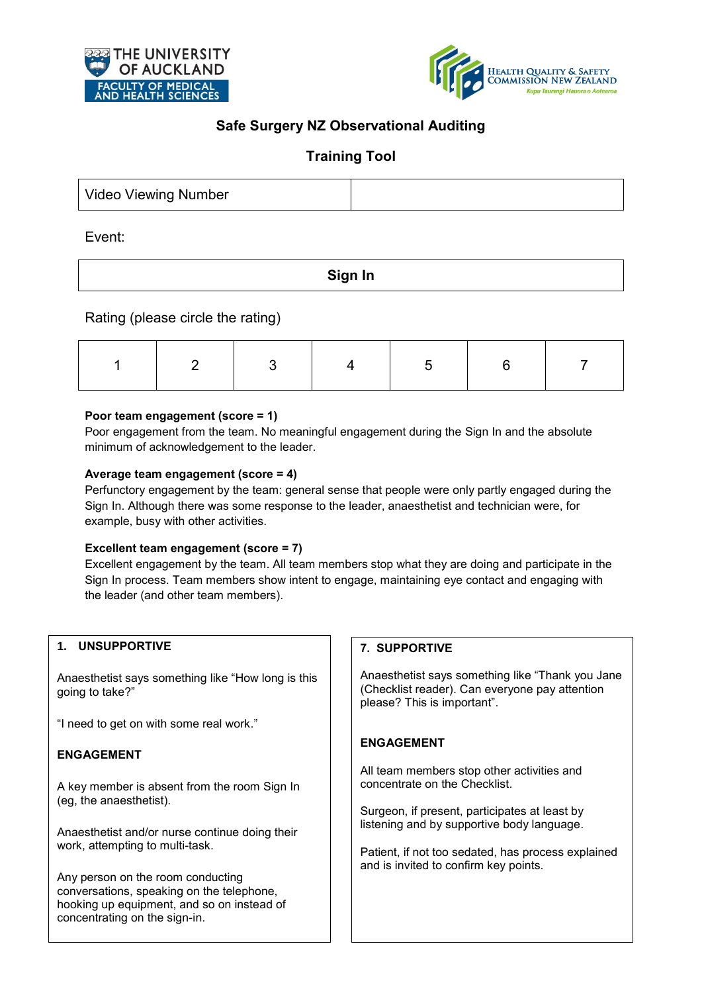



# **Safe Surgery NZ Observational Auditing**

## **Training Tool**

| <b>Video Viewing Number</b> |  |
|-----------------------------|--|
|-----------------------------|--|

Event:

**Sign In**

Rating (please circle the rating)

### **Poor team engagement (score = 1)**

Poor engagement from the team. No meaningful engagement during the Sign In and the absolute minimum of acknowledgement to the leader.

### **Average team engagement (score = 4)**

Perfunctory engagement by the team: general sense that people were only partly engaged during the Sign In. Although there was some response to the leader, anaesthetist and technician were, for example, busy with other activities.

### **Excellent team engagement (score = 7)**

Excellent engagement by the team. All team members stop what they are doing and participate in the Sign In process. Team members show intent to engage, maintaining eye contact and engaging with the leader (and other team members).

## **1. UNSUPPORTIVE**

Anaesthetist says something like "How long is this going to take?"

"I need to get on with some real work."

### **ENGAGEMENT**

A key member is absent from the room Sign In (eg, the anaesthetist).

Anaesthetist and/or nurse continue doing their work, attempting to multi-task.

Any person on the room conducting conversations, speaking on the telephone, hooking up equipment, and so on instead of concentrating on the sign-in.

### **7. SUPPORTIVE**

Anaesthetist says something like "Thank you Jane (Checklist reader). Can everyone pay attention please? This is important".

### **ENGAGEMENT**

All team members stop other activities and concentrate on the Checklist.

Surgeon, if present, participates at least by listening and by supportive body language.

Patient, if not too sedated, has process explained and is invited to confirm key points.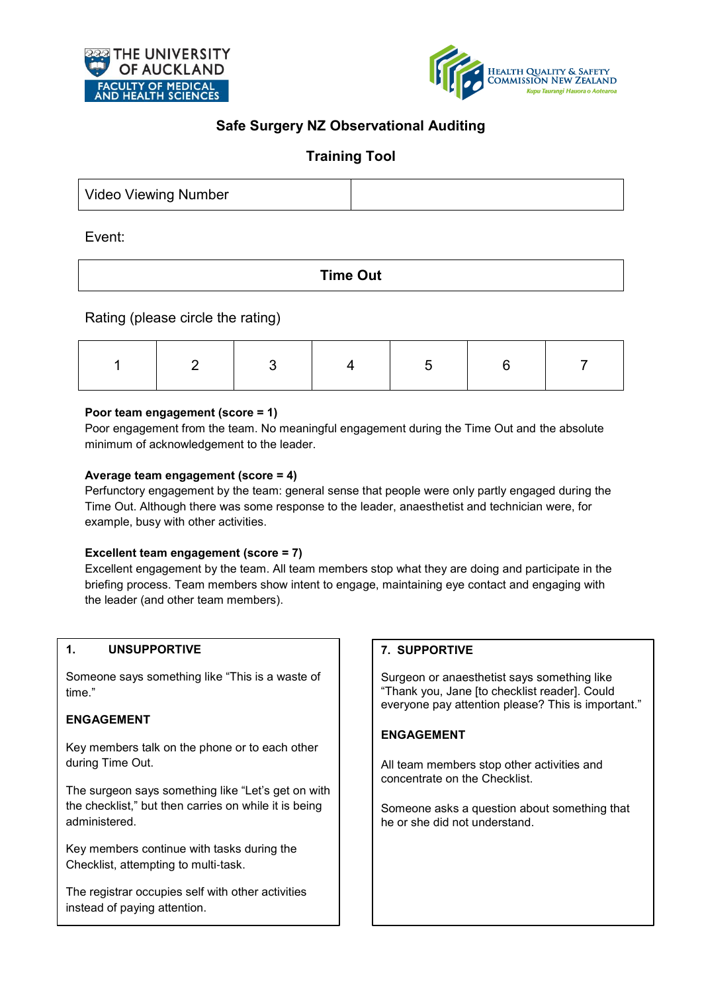



# **Safe Surgery NZ Observational Auditing**

## **Training Tool**

| <b>Video Viewing Number</b> |  |
|-----------------------------|--|
|-----------------------------|--|

Event:

**Time Out** 

## Rating (please circle the rating)

## **Poor team engagement (score = 1)**

Poor engagement from the team. No meaningful engagement during the Time Out and the absolute minimum of acknowledgement to the leader.

## **Average team engagement (score = 4)**

Perfunctory engagement by the team: general sense that people were only partly engaged during the Time Out. Although there was some response to the leader, anaesthetist and technician were, for example, busy with other activities.

## **Excellent team engagement (score = 7)**

Excellent engagement by the team. All team members stop what they are doing and participate in the briefing process. Team members show intent to engage, maintaining eye contact and engaging with the leader (and other team members).

### **1. UNSUPPORTIVE**

Someone says something like "This is a waste of time."

### **ENGAGEMENT**

Key members talk on the phone or to each other during Time Out.

The surgeon says something like "Let's get on with the checklist," but then carries on while it is being administered.

Key members continue with tasks during the Checklist, attempting to multi‐task.

The registrar occupies self with other activities instead of paying attention.

### **7. SUPPORTIVE**

Surgeon or anaesthetist says something like "Thank you, Jane [to checklist reader]. Could everyone pay attention please? This is important."

## **ENGAGEMENT**

All team members stop other activities and concentrate on the Checklist.

Someone asks a question about something that he or she did not understand.